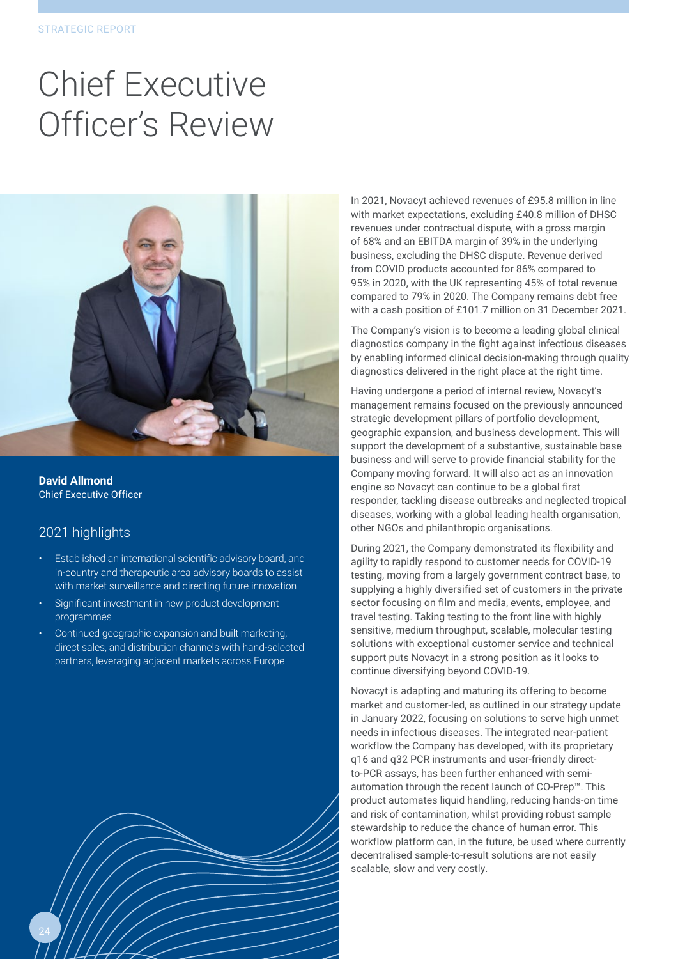## Chief Executive Officer's Review



**David Allmond** Chief Executive Officer

## 2021 highlights

- Established an international scientific advisory board, and in-country and therapeutic area advisory boards to assist with market surveillance and directing future innovation
- Significant investment in new product development programmes
- Continued geographic expansion and built marketing, direct sales, and distribution channels with hand-selected partners, leveraging adjacent markets across Europe



In 2021, Novacyt achieved revenues of £95.8 million in line with market expectations, excluding £40.8 million of DHSC revenues under contractual dispute, with a gross margin of 68% and an EBITDA margin of 39% in the underlying business, excluding the DHSC dispute. Revenue derived from COVID products accounted for 86% compared to 95% in 2020, with the UK representing 45% of total revenue compared to 79% in 2020. The Company remains debt free with a cash position of £101.7 million on 31 December 2021.

The Company's vision is to become a leading global clinical diagnostics company in the fight against infectious diseases by enabling informed clinical decision-making through quality diagnostics delivered in the right place at the right time.

Having undergone a period of internal review, Novacyt's management remains focused on the previously announced strategic development pillars of portfolio development, geographic expansion, and business development. This will support the development of a substantive, sustainable base business and will serve to provide financial stability for the Company moving forward. It will also act as an innovation engine so Novacyt can continue to be a global first responder, tackling disease outbreaks and neglected tropical diseases, working with a global leading health organisation, other NGOs and philanthropic organisations.

During 2021, the Company demonstrated its flexibility and agility to rapidly respond to customer needs for COVID-19 testing, moving from a largely government contract base, to supplying a highly diversified set of customers in the private sector focusing on film and media, events, employee, and travel testing. Taking testing to the front line with highly sensitive, medium throughput, scalable, molecular testing solutions with exceptional customer service and technical support puts Novacyt in a strong position as it looks to continue diversifying beyond COVID-19.

Novacyt is adapting and maturing its offering to become market and customer-led, as outlined in our strategy update in January 2022, focusing on solutions to serve high unmet needs in infectious diseases. The integrated near-patient workflow the Company has developed, with its proprietary q16 and q32 PCR instruments and user-friendly directto-PCR assays, has been further enhanced with semiautomation through the recent launch of CO-Prep™. This product automates liquid handling, reducing hands-on time and risk of contamination, whilst providing robust sample stewardship to reduce the chance of human error. This workflow platform can, in the future, be used where currently decentralised sample-to-result solutions are not easily scalable, slow and very costly.